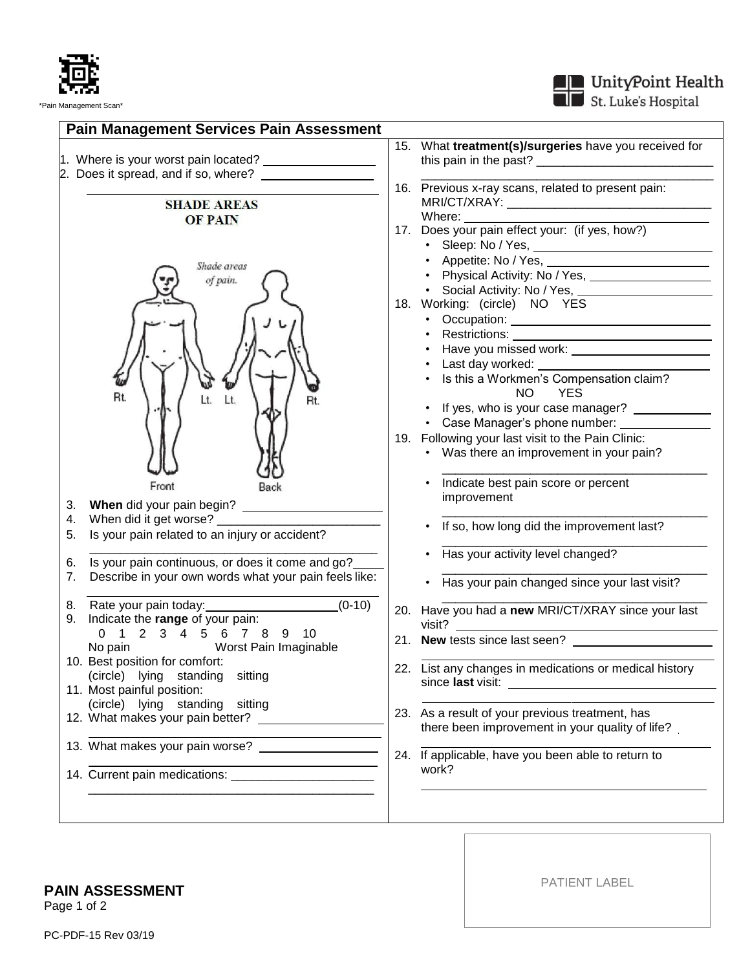

St. Luke's Hospital



**PAIN ASSESSMENT**

Page 1 of 2

PATIENT LABEL